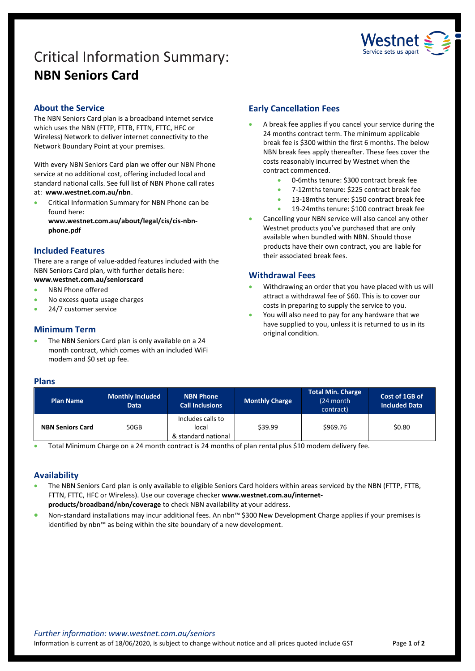# Critical Information Summary: **NBN Seniors Card**



# **About the Service**

The NBN Seniors Card plan is a broadband internet service which uses the NBN (FTTP, FTTB, FTTN, FTTC, HFC or Wireless) Network to deliver internet connectivity to the Network Boundary Point at your premises.

With every NBN Seniors Card plan we offer our NBN Phone service at no additional cost, offering included local and standard national calls. See full list of NBN Phone call rates at: **www.westnet.com.au/nbn**.

**•** Critical Information Summary for NBN Phone can be found here:

**www.westnet.com.au/about/legal/cis/cis-nbnphone.pdf**

## **Included Features**

There are a range of value-added features included with the NBN Seniors Card plan, with further details here:

- **www.westnet.com.au/seniorscard**
- NBN Phone offered
- No excess quota usage charges
- 24/7 customer service

# **Minimum Term**

 The NBN Seniors Card plan is only available on a 24 month contract, which comes with an included WiFi modem and \$0 set up fee.

# **Early Cancellation Fees**

- A break fee applies if you cancel your service during the 24 months contract term. The minimum applicable break fee is \$300 within the first 6 months. The below NBN break fees apply thereafter. These fees cover the costs reasonably incurred by Westnet when the contract commenced.
	- 0-6mths tenure: \$300 contract break fee
	- 7-12mths tenure: \$225 contract break fee
	- 13-18mths tenure: \$150 contract break fee
	- 19-24mths tenure: \$100 contract break fee
- Cancelling your NBN service will also cancel any other Westnet products you've purchased that are only available when bundled with NBN. Should those products have their own contract, you are liable for their associated break fees.

## **Withdrawal Fees**

- Withdrawing an order that you have placed with us will attract a withdrawal fee of \$60. This is to cover our costs in preparing to supply the service to you.
- You will also need to pay for any hardware that we have supplied to you, unless it is returned to us in its original condition.

#### **Plans**

| <b>Plan Name</b>        | <b>Monthly Included</b><br><b>Data</b> | <b>NBN Phone</b><br><b>Call Inclusions</b>        | <b>Monthly Charge</b> | Total Min. Charge<br>(24 month)<br>contract) | Cost of 1GB of<br><b>Included Data</b> |
|-------------------------|----------------------------------------|---------------------------------------------------|-----------------------|----------------------------------------------|----------------------------------------|
| <b>NBN Seniors Card</b> | 50GB                                   | Includes calls to<br>local<br>& standard national | \$39.99               | \$969.76                                     | \$0.80                                 |

Total Minimum Charge on a 24 month contract is 24 months of plan rental plus \$10 modem delivery fee.

# **Availability**

- The NBN Seniors Card plan is only available to eligible Seniors Card holders within areas serviced by the NBN (FTTP, FTTB, FTTN, FTTC, HFC or Wireless). Use ou[r coverage checker](https://www.westnet.com.au/internet-products/broadband/nbn/coverage/) **www.westnet.com.au/internetproducts/broadband/nbn/coverage** to check NBN availability at your address.
- Non-standard installations may incur additional fees. An nbn™ \$300 New Development Charge applies if your premises is identified by nbn™ as being within the site boundary of a new development.